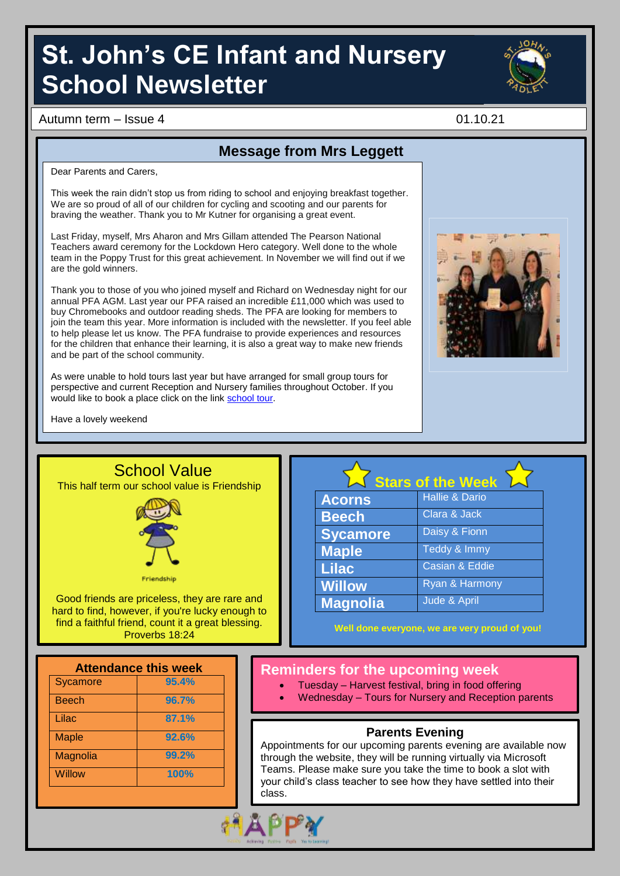# **St. John's CE Infant and Nursery School Newsletter**



Autumn term – Issue 4 01.10.21

**Message from Mrs Leggett**

Dear Parents and Carers,

This week the rain didn't stop us from riding to school and enjoying breakfast together. We are so proud of all of our children for cycling and scooting and our parents for braving the weather. Thank you to Mr Kutner for organising a great event.

Last Friday, myself, Mrs Aharon and Mrs Gillam attended The Pearson National Teachers award ceremony for the Lockdown Hero category. Well done to the whole team in the Poppy Trust for this great achievement. In November we will find out if we are the gold winners.

Thank you to those of you who joined myself and Richard on Wednesday night for our annual PFA AGM. Last year our PFA raised an incredible £11,000 which was used to buy Chromebooks and outdoor reading sheds. The PFA are looking for members to join the team this year. More information is included with the newsletter. If you feel able to help please let us know. The PFA fundraise to provide experiences and resources for the children that enhance their learning, it is also a great way to make new friends and be part of the school community.

As were unable to hold tours last year but have arranged for small group tours for perspective and current Reception and Nursery families throughout October. If you would like to book a place click on the link [school tour.](https://www.sjins.org.uk/news/?pid=45&nid=1&storyid=45)



Have a lovely weekend



Sycamore **95.4%** Beech **96.7%** Lilac **87.1%** Maple **92.6%** Magnolia **99.2%** Willow **100%**

|                 | <b>Stars of the Week</b>  |
|-----------------|---------------------------|
| <b>Acorns</b>   | <b>Hallie &amp; Dario</b> |
| <b>Beech</b>    | Clara & Jack              |
| <b>Sycamore</b> | Daisy & Fionn             |
| <b>Maple</b>    | Teddy & Immy              |
| <b>Lilac</b>    | <b>Casian &amp; Eddie</b> |
| <b>Willow</b>   | Ryan & Harmony            |
| <b>Magnolia</b> | Jude & April              |

**Well done everyone, we are very proud of you!**

#### **Reminders for the upcoming week**

- Tuesday Harvest festival, bring in food offering
- Wednesday Tours for Nursery and Reception parents

#### **Parents Evening**

Appointments for our upcoming parents evening are available now through the website, they will be running virtually via Microsoft Teams. Please make sure you take the time to book a slot with your child's class teacher to see how they have settled into their class.

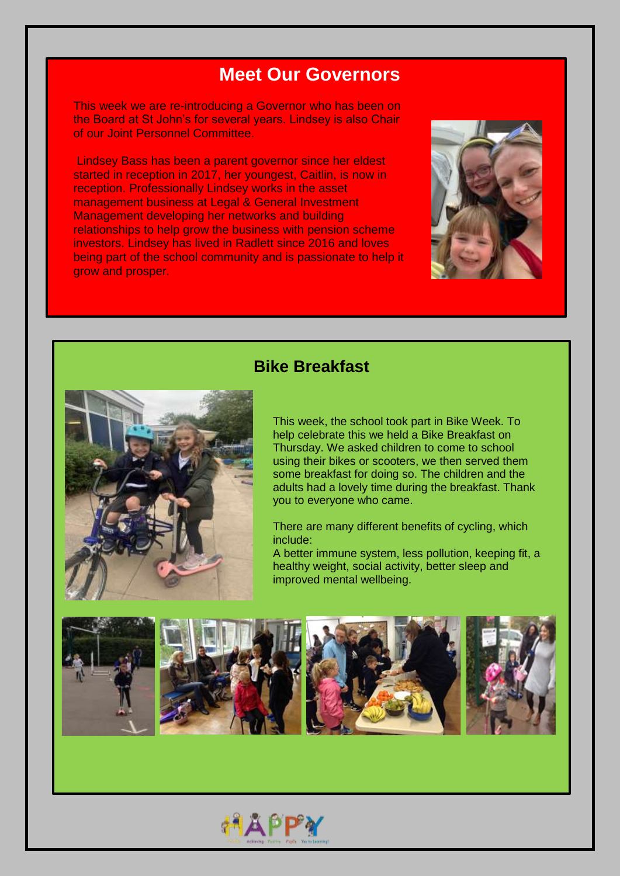### **Meet Our Governors**

This week we are re-introducing a Governor who has been on the Board at St John's for several years. Lindsey is also Chair of our Joint Personnel Committee.

Lindsey Bass has been a parent governor since her eldest started in reception in 2017, her youngest, Caitlin, is now in reception. Professionally Lindsey works in the asset management business at Legal & General Investment Management developing her networks and building relationships to help grow the business with pension scheme investors. Lindsey has lived in Radlett since 2016 and loves being part of the school community and is passionate to help it grow and prosper.



#### **Bike Breakfast**



This week, the school took part in Bike Week. To help celebrate this we held a Bike Breakfast on Thursday. We asked children to come to school using their bikes or scooters, we then served them some breakfast for doing so. The children and the adults had a lovely time during the breakfast. Thank you to everyone who came.

There are many different benefits of cycling, which include:

A better immune system, less pollution, keeping fit, a healthy weight, social activity, better sleep and improved mental wellbeing.



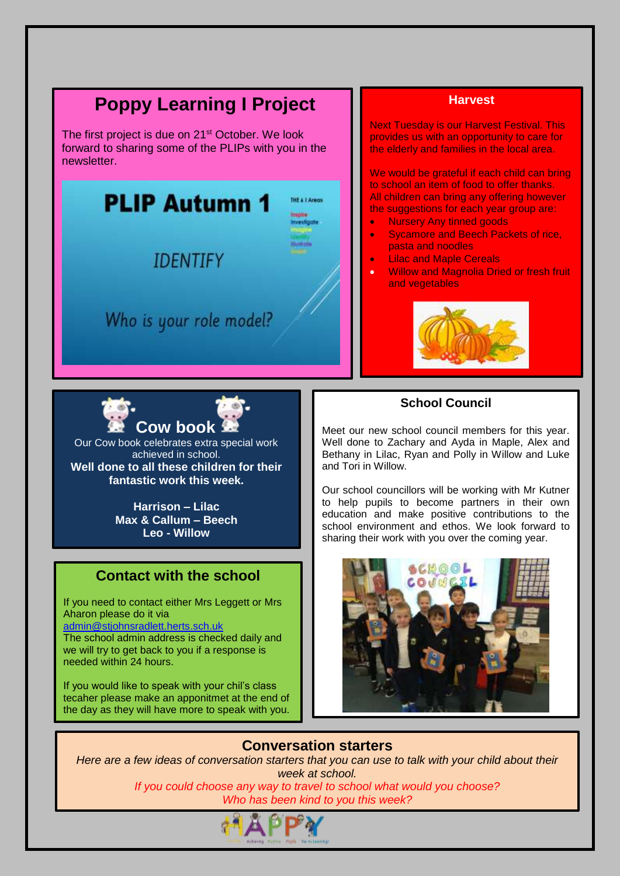## **Poppy Learning I Project**

The first project is due on 21<sup>st</sup> October. We look forward to sharing some of the PLIPs with you in the newsletter.



#### **Harvest**

Next Tuesday is our Harvest Festival. This provides us with an opportunity to care for the elderly and families in the local area.

We would be grateful if each child can bring to school an item of food to offer thanks. All children can bring any offering however the suggestions for each year group are:

- Nursery Any tinned goods
- Sycamore and Beech Packets of rice, pasta and noodles
- Lilac and Maple Cereals
- Willow and Magnolia Dried or fresh fruit and vegetables





Our Cow book celebrates extra special work achieved in school. **Well done to all these children for their fantastic work this week.**

> **Harrison – Lilac Max & Callum – Beech Leo - Willow**

#### **Contact with the school**

If you need to contact either Mrs Leggett or Mrs Aharon please do it via

[admin@stjohnsradlett.herts.sch.uk](mailto:admin@stjohnsradlett.herts.sch.uk) 

The school admin address is checked daily and we will try to get back to you if a response is needed within 24 hours.

If you would like to speak with your chil's class tecaher please make an apponitmet at the end of the day as they will have more to speak with you.

#### **School Council**

Meet our new school council members for this year. Well done to Zachary and Ayda in Maple, Alex and Bethany in Lilac, Ryan and Polly in Willow and Luke and Tori in Willow.

Our school councillors will be working with Mr Kutner to help pupils to become partners in their own education and make positive contributions to the school environment and ethos. We look forward to sharing their work with you over the coming year.



#### **Conversation starters**

I

*Here are a few ideas of conversation starters that you can use to talk with your child about their week at school.*

*If you could choose any way to travel to school what would you choose? Who has been kind to you this week?*